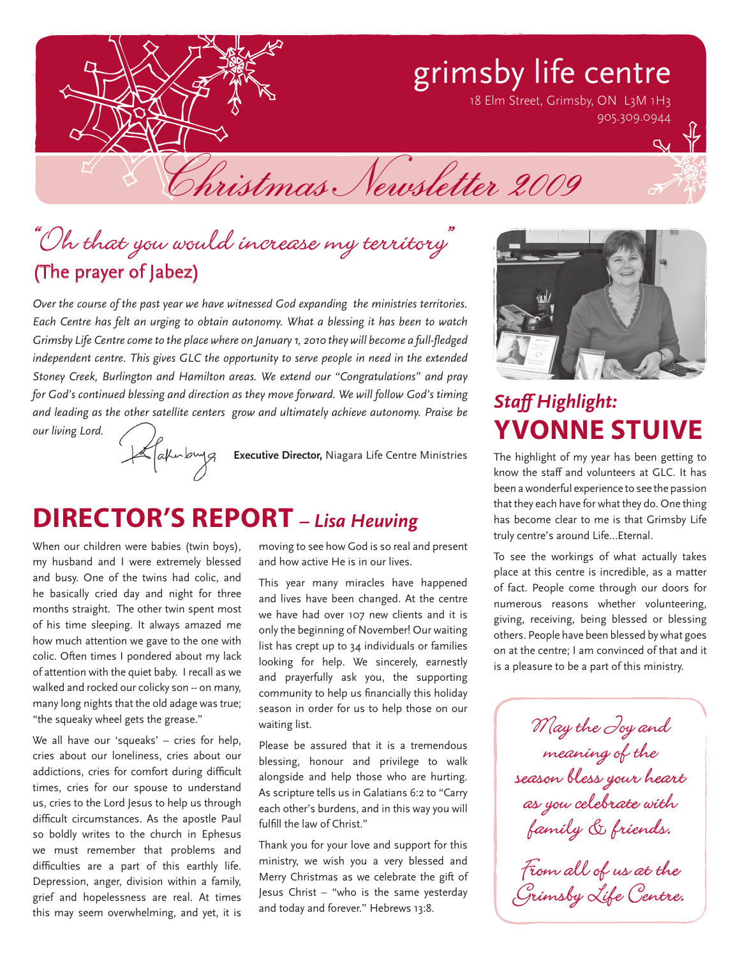# grimsby life centre

18 Elm Street, Grimsby, ON L3M 1H3 905.309.0944

Christmas Newsletter 2009

## "Oh that you would increase my territory" (The prayer of Jabez)

*Over the course of the past year we have witnessed God expanding the ministries territories. Each Centre has felt an urging to obtain autonomy. What a blessing it has been to watch Grimsby Life Centre come to the place where on January 1, 2010 they will become a full-fledged independent centre. This gives GLC the opportunity to serve people in need in the extended Stoney Creek, Burlington and Hamilton areas. We extend our "Congratulations" and pray for God's continued blessing and direction as they move forward. We will follow God's timing and leading as the other satellite centers grow and ultimately achieve autonomy. Praise be* 

*our living Lord.*



## **DIRECTOR'S REPORT** – Lisa Heuving

When our children were babies (twin boys), my husband and I were extremely blessed and busy. One of the twins had colic, and he basically cried day and night for three months straight. The other twin spent most of his time sleeping. It always amazed me how much attention we gave to the one with colic. Often times I pondered about my lack of attention with the quiet baby. I recall as we walked and rocked our colicky son -- on many, many long nights that the old adage was true; "the squeaky wheel gets the grease."

We all have our 'squeaks' – cries for help, cries about our loneliness, cries about our addictions, cries for comfort during difficult times, cries for our spouse to understand us, cries to the Lord Jesus to help us through difficult circumstances. As the apostle Paul so boldly writes to the church in Ephesus we must remember that problems and difficulties are a part of this earthly life. Depression, anger, division within a family, grief and hopelessness are real. At times this may seem overwhelming, and yet, it is

moving to see how God is so real and present and how active He is in our lives.

This year many miracles have happened and lives have been changed. At the centre we have had over 107 new clients and it is only the beginning of November! Our waiting list has crept up to 34 individuals or families looking for help. We sincerely, earnestly and prayerfully ask you, the supporting community to help us financially this holiday season in order for us to help those on our waiting list.

Please be assured that it is a tremendous blessing, honour and privilege to walk alongside and help those who are hurting. As scripture tells us in Galatians 6:2 to "Carry each other's burdens, and in this way you will fulfill the law of Christ."

Thank you for your love and support for this ministry, we wish you a very blessed and Merry Christmas as we celebrate the gift of Jesus Christ – "who is the same yesterday and today and forever." Hebrews 13:8.



## *Staff Highlight:* **Yvonne Stuive**

The highlight of my year has been getting to know the staff and volunteers at GLC. It has been a wonderful experience to see the passion that they each have for what they do. One thing has become clear to me is that Grimsby Life truly centre's around Life…Eternal.

To see the workings of what actually takes place at this centre is incredible, as a matter of fact. People come through our doors for numerous reasons whether volunteering, giving, receiving, being blessed or blessing others. People have been blessed by what goes on at the centre; I am convinced of that and it is a pleasure to be a part of this ministry.

May the Joy and season bless your heart as you celebrate with as you celeviule with<br>kamily & kriends family & friends.

from arr of us ar one<br>Irinsbu Like Centre Grimsby Life Centre.